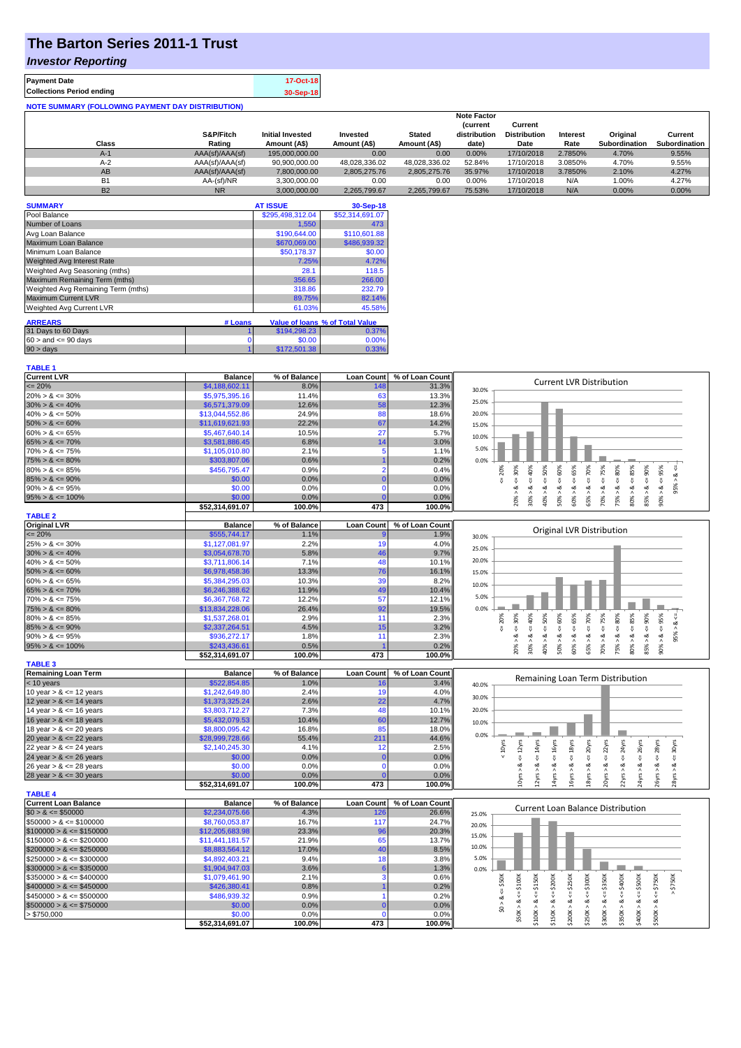# **The Barton Series 2011-1 Trust**

### *Investor Reporting*

| <b>Payment Date</b>                                      | 17-Oct-18 |
|----------------------------------------------------------|-----------|
| <b>Collections Period ending</b>                         | 30-Sep-18 |
| <b>NOTE SUMMARY (FOLLOWING PAYMENT DAY DISTRIBUTION)</b> |           |

|           |                 |                         |               |               | <b>Note Factor</b> |                     |                 |               |               |
|-----------|-----------------|-------------------------|---------------|---------------|--------------------|---------------------|-----------------|---------------|---------------|
|           |                 |                         |               |               | <b>Current</b>     | Current             |                 |               |               |
|           | S&P/Fitch       | <b>Initial Invested</b> | Invested      | <b>Stated</b> | distribution       | <b>Distribution</b> | <b>Interest</b> | Original      | Current       |
| Class     | Rating          | Amount (A\$)            | Amount (A\$)  | Amount (A\$)  | date)              | Date                | Rate            | Subordination | Subordination |
| $A-1$     | AAA(sf)/AAA(sf) | 195,000,000,00          | 0.00          | 0.00          | 0.00%              | 17/10/2018          | 2.7850%         | 4.70%         | 9.55%         |
| $A-2$     | AAA(sf)/AAA(sf) | 90,900,000.00           | 48.028.336.02 | 48.028.336.02 | 52.84%             | 17/10/2018          | 3.0850%         | 4.70%         | 9.55%         |
| AB        | AAA(sf)/AAA(sf) | 7,800,000.00            | 2.805.275.76  | 2.805.275.76  | 35.97%             | 17/10/2018          | 3.7850%         | 2.10%         | 4.27%         |
| B1        | AA-(sf)/NR      | 3.300.000.00            | 0.00          | 0.00          | 0.00%              | 17/10/2018          | N/A             | 1.00%         | 4.27%         |
| <b>B2</b> | N <sub>R</sub>  | 3.000.000.00            | 2.265.799.67  | 2.265.799.67  | 75.53%             | 17/10/2018          | N/A             | $0.00\%$      | 0.00%         |

| <b>SUMMARY</b>                     |         | <b>AT ISSUE</b>  | 30-Sep-18                       |
|------------------------------------|---------|------------------|---------------------------------|
| Pool Balance                       |         | \$295,498,312.04 | \$52,314,691.07                 |
| Number of Loans                    |         | 1,550            | 473                             |
| Avg Loan Balance                   |         | \$190,644.00     | \$110,601.88                    |
| Maximum Loan Balance               |         | \$670,069.00     | \$486,939.32                    |
| Minimum Loan Balance               |         | \$50,178.37      | \$0.00                          |
| <b>Weighted Avg Interest Rate</b>  |         | 7.25%            | 4.72%                           |
| Weighted Avg Seasoning (mths)      |         | 28.1             | 118.5                           |
| Maximum Remaining Term (mths)      |         | 356.65           | 266.00                          |
| Weighted Avg Remaining Term (mths) |         | 318.86           | 232.79                          |
| <b>Maximum Current LVR</b>         |         | 89.75%           | 82.14%                          |
| Weighted Avg Current LVR           |         | 61.03%           | 45.58%                          |
| <b>ARREARS</b>                     | # Loans |                  | Value of loans % of Total Value |
|                                    |         |                  |                                 |
| 31 Days to 60 Days                 |         | \$194,298.23     | 0.37%                           |
| $60 >$ and $\leq 90$ days          | 0       | \$0.00           | 0.00%                           |
| $90 > \text{days}$                 |         | \$172,501.38     | 0.33%                           |

| <b>TABLE 1</b>              |                 |              |                   |                 |                                                                                                                                                                                                                                                   |
|-----------------------------|-----------------|--------------|-------------------|-----------------|---------------------------------------------------------------------------------------------------------------------------------------------------------------------------------------------------------------------------------------------------|
| <b>Current LVR</b>          | <b>Balance</b>  | % of Balance | <b>Loan Count</b> | % of Loan Count |                                                                                                                                                                                                                                                   |
| $\leq$ 20%                  | \$4,188,602.11  | 8.0%         | 148               | 31.3%           | <b>Current LVR Distribution</b><br>30.0%                                                                                                                                                                                                          |
| $20\% > 8 \le 30\%$         | \$5,975,395.16  | 11.4%        | 63                | 13.3%           |                                                                                                                                                                                                                                                   |
| $30\% > 8 \le 40\%$         | \$6,571,379.09  | 12.6%        | 58                | 12.3%           | 25.0%                                                                                                                                                                                                                                             |
| $40\% > 8 \le 50\%$         | \$13,044,552.86 | 24.9%        | 88                | 18.6%           | 20.0%                                                                                                                                                                                                                                             |
| $50\% > 8 \le 60\%$         | \$11,619,621.93 | 22.2%        | 67                | 14.2%           | 15.0%                                                                                                                                                                                                                                             |
| $60\% > 8 \le 65\%$         | \$5,467,640.14  | 10.5%        | 27                | 5.7%            |                                                                                                                                                                                                                                                   |
| $65\% > 8 \le 70\%$         | \$3,581,886.45  | 6.8%         | 14                | 3.0%            | 10.0%                                                                                                                                                                                                                                             |
| $70\% > 8 \le 75\%$         | \$1,105,010.80  | 2.1%         | 5                 | 1.1%            | 5.0%                                                                                                                                                                                                                                              |
| $75\% > 8 \le 80\%$         | \$303,807.06    | 0.6%         |                   | 0.2%            | 0.0%                                                                                                                                                                                                                                              |
| $80\% > 8 \le 85\%$         | \$456,795.47    | 0.9%         | $\overline{2}$    | 0.4%            | $\le 60\%$<br>$4 = 75\%$<br>95%<br>20%                                                                                                                                                                                                            |
| $85\% > 8 \le 90\%$         | \$0.00          | 0.0%         | $\mathbf{0}$      | 0.0%            | $4 = 70\%$<br>$8 - 30%$<br>$<=50\%$<br>$4 = 65%$<br>$<=80\%$<br>$\frac{8}{2}$<br>V                                                                                                                                                                |
| $90\% > 8 \le 95\%$         | \$0.00          | 0.0%         | $\mathbf 0$       | 0.0%            | 95%<br>ઌૻ<br>ઌ                                                                                                                                                                                                                                    |
| $95\% > 8 \le 100\%$        | \$0.00          | 0.0%         |                   | 0.0%            | $30\% > 8 <= 40\%$<br>$80\% > 8 <= 85\%$<br>$85\% > 8 \leq 90\%$<br>50% > 8<br>60% > 8<br>70% > 8.<br>75% > 8<br>20% > 1<br>40% ><br>65% ><br>90% >                                                                                               |
|                             | \$52,314,691.07 | 100.0%       | 473               | 100.0%          |                                                                                                                                                                                                                                                   |
| <b>TABLE 2</b>              |                 |              |                   |                 |                                                                                                                                                                                                                                                   |
| <b>Original LVR</b>         | <b>Balance</b>  | % of Balance | <b>Loan Count</b> | % of Loan Count |                                                                                                                                                                                                                                                   |
| $\leq$ 20%                  | \$555,744.17    | 1.1%         |                   | 1.9%            | Original LVR Distribution<br>30.0%                                                                                                                                                                                                                |
| $25\% > 8 \le 30\%$         | \$1,127,081.97  | 2.2%         | 19                | 4.0%            |                                                                                                                                                                                                                                                   |
| $30\% > 8 \le 40\%$         | \$3,054,678.70  | 5.8%         | 46                | 9.7%            | 25.0%                                                                                                                                                                                                                                             |
| $40\% > 8 \le 50\%$         | \$3,711,806.14  | 7.1%         | 48                | 10.1%           | 20.0%                                                                                                                                                                                                                                             |
| $50\% > 8 \le 60\%$         | \$6,978,458.36  | 13.3%        | 76                | 16.1%           | 15.0%                                                                                                                                                                                                                                             |
| $60\% > 8 \le 65\%$         | \$5,384,295.03  | 10.3%        | 39                | 8.2%            |                                                                                                                                                                                                                                                   |
| $65\% > 8 \le 70\%$         | \$6,246,388.62  | 11.9%        | 49                | 10.4%           | 10.0%                                                                                                                                                                                                                                             |
| $70\% > 8 \le 75\%$         | \$6,367,768.72  | 12.2%        | 57                | 12.1%           | 5.0%                                                                                                                                                                                                                                              |
| $75\% > 8 \le 80\%$         | \$13,834,228.06 | 26.4%        | 92                | 19.5%           | 0.0%                                                                                                                                                                                                                                              |
| $80\% > 8 \le 85\%$         | \$1,537,268.01  | 2.9%         | 11                | 2.3%            | $4 - 90%$<br>50%<br>$4 = 60\%$<br>$4 = 75\%$<br>$480\%$<br>30%<br>40%<br>65%<br>70%<br>95%<br>8 < 1<br>20%                                                                                                                                        |
| $85\% > 8 \le 90\%$         | \$2,337,264.51  | 4.5%         | 15                | 3.2%            | $& \Leftarrow 85\%$<br>₩<br>₩<br>₩<br>₩<br>₩<br>₩                                                                                                                                                                                                 |
| $90\% > 8 \le 95\%$         | \$936,272.17    | 1.8%         | 11                | 2.3%            | 95% ><br>ಷ<br>∞<br>ಷ<br>œ<br>ಷ<br>ø<br>ಷ<br>ø<br>∞<br>ವ                                                                                                                                                                                           |
| $95\% > 8 \le 100\%$        | \$243,436.61    | 0.5%         |                   | 0.2%            | 20% ><br>30% ><br>65% ><br>70% ><br>75% ><br>$80\%$ $>$<br>85% ><br>40% ><br>50% ><br>60% ><br>$90\%$                                                                                                                                             |
|                             | \$52,314,691.07 | 100.0%       | 473               | 100.0%          |                                                                                                                                                                                                                                                   |
| <b>TABLE 3</b>              |                 |              |                   |                 |                                                                                                                                                                                                                                                   |
| <b>Remaining Loan Term</b>  | <b>Balance</b>  | % of Balance | <b>Loan Count</b> | % of Loan Count |                                                                                                                                                                                                                                                   |
| $<$ 10 years                | \$522,854.85    | 1.0%         | 16                | 3.4%            | Remaining Loan Term Distribution<br>40.0%                                                                                                                                                                                                         |
| 10 year $> 8 \le 12$ years  | \$1,242,649.80  | 2.4%         | 19                | 4.0%            |                                                                                                                                                                                                                                                   |
| 12 year $> 8 \le 14$ years  | \$1,373,325.24  | 2.6%         | 22                | 4.7%            | 30.0%                                                                                                                                                                                                                                             |
| 14 year $> 8 \le 16$ years  | \$3,803,712.27  | 7.3%         | 48                | 10.1%           | 20.0%                                                                                                                                                                                                                                             |
| 16 year $> 8 \le 18$ years  | \$5,432,079.53  | 10.4%        | 60                | 12.7%           | 10.0%                                                                                                                                                                                                                                             |
| 18 year $> 8 \le 20$ years  | \$8,800,095.42  | 16.8%        | 85                | 18.0%           |                                                                                                                                                                                                                                                   |
| 20 year $> 8 \le 22$ years  | \$28,999,728.66 | 55.4%        | 21 <sup>1</sup>   | 44.6%           | 0.0%                                                                                                                                                                                                                                              |
| 22 year $> 8 \le 24$ years  | \$2,140,245.30  | 4.1%         | 12                | 2.5%            | 30yrs<br>< 10yrs                                                                                                                                                                                                                                  |
| 24 year $> 8 \le 26$ years  | \$0.00          | 0.0%         |                   | 0.0%            | $\leq$ 24yrs<br>$4 = 16yrs$<br>$\leq$ 20yrs<br>$\leq$ 22 $\gamma$ rs<br>$\leq 18$ yrs<br>$\leq$ 26yrs<br>$\leq$ 28 $\gamma$ rs<br>$\leq 12$ yrs<br>$\leq$ 14yrs<br>₩                                                                              |
| 26 year $> 8 \le 28$ years  | \$0.00          | 0.0%         | $\mathbf{0}$      | 0.0%            | ಷ<br>ಷ<br>ಷ<br>త<br>oð.<br>త<br>త<br>ಷ<br>∞                                                                                                                                                                                                       |
| 28 year $> 8 \le 30$ years  | \$0.00          | 0.0%         |                   | 0.0%            | 24yrs > 8<br>16yrs > 8<br>20yrs ><br>22yrs ><br>26yrs > 8<br>10yrs ><br>14yrs<br>18yrs<br>28yrs<br>12yrs >                                                                                                                                        |
|                             | \$52,314,691.07 | 100.0%       | 473               | 100.0%          |                                                                                                                                                                                                                                                   |
| <b>TABLE 4</b>              |                 |              |                   |                 |                                                                                                                                                                                                                                                   |
| <b>Current Loan Balance</b> | <b>Balance</b>  | % of Balance | <b>Loan Count</b> | % of Loan Count |                                                                                                                                                                                                                                                   |
| $$0 > 8 \le $50000$         | \$2,234,075.66  | 4.3%         | 126               | 26.6%           | <b>Current Loan Balance Distribution</b><br>25.0%                                                                                                                                                                                                 |
| $$50000 > 8 \le $100000$    | \$8,760,053.87  | 16.7%        | 117               | 24.7%           | 20.0%                                                                                                                                                                                                                                             |
| $$100000 > 8 \leq $150000$  | \$12,205,683.98 | 23.3%        | 96                | 20.3%           |                                                                                                                                                                                                                                                   |
| $$150000 > 8 \leq $200000$  | \$11,441,181.57 | 21.9%        | 65                | 13.7%           | 15.0%                                                                                                                                                                                                                                             |
| $$200000 > 8 \leq $250000$  | \$8,883,564.12  | 17.0%        | 40                | 8.5%            | 10.0%                                                                                                                                                                                                                                             |
| $$250000 > 8 \leq $300000$  | \$4,892,403.21  | 9.4%         | 18                | 3.8%            | 5.0%                                                                                                                                                                                                                                              |
| $$300000 > 8 \leq $350000$  | \$1,904,947.03  | 3.6%         | 6                 | 1.3%            | 0.0%                                                                                                                                                                                                                                              |
| $$350000 > 8 \leq $400000$  | \$1,079,461.90  | 2.1%         | 3                 | 0.6%            |                                                                                                                                                                                                                                                   |
| $$400000 > 8 \leq $450000$  | \$426,380.41    | 0.8%         |                   | 0.2%            | \$750K<br>$$50K > 8 <= $100K$<br>$$150K > <= $200K$$<br>$$250K > 8 <= $300K$$<br>$$300K > 8 <= $350K$<br>$$350K > 8 <= $400K$<br>$$400K > 8 <= $500K$<br>$$0 > 8 <= $50$<br>$$100K > 8 <= $150K$<br>$$200K > 8 <= $250K$$<br>$$500K > 8 <= $750K$ |
| $$450000 > 8 \le $500000$   | \$486,939.32    | 0.9%         |                   | 0.2%            |                                                                                                                                                                                                                                                   |
| $$500000 > 8 \leq $750000$  | \$0.00          | 0.0%         |                   | 0.0%            |                                                                                                                                                                                                                                                   |
| > \$750,000                 | \$0.00          | 0.0%         | $\Omega$          | 0.0%            |                                                                                                                                                                                                                                                   |
|                             | \$52,314,691.07 | 100.0%       | 473               | 100.0%          |                                                                                                                                                                                                                                                   |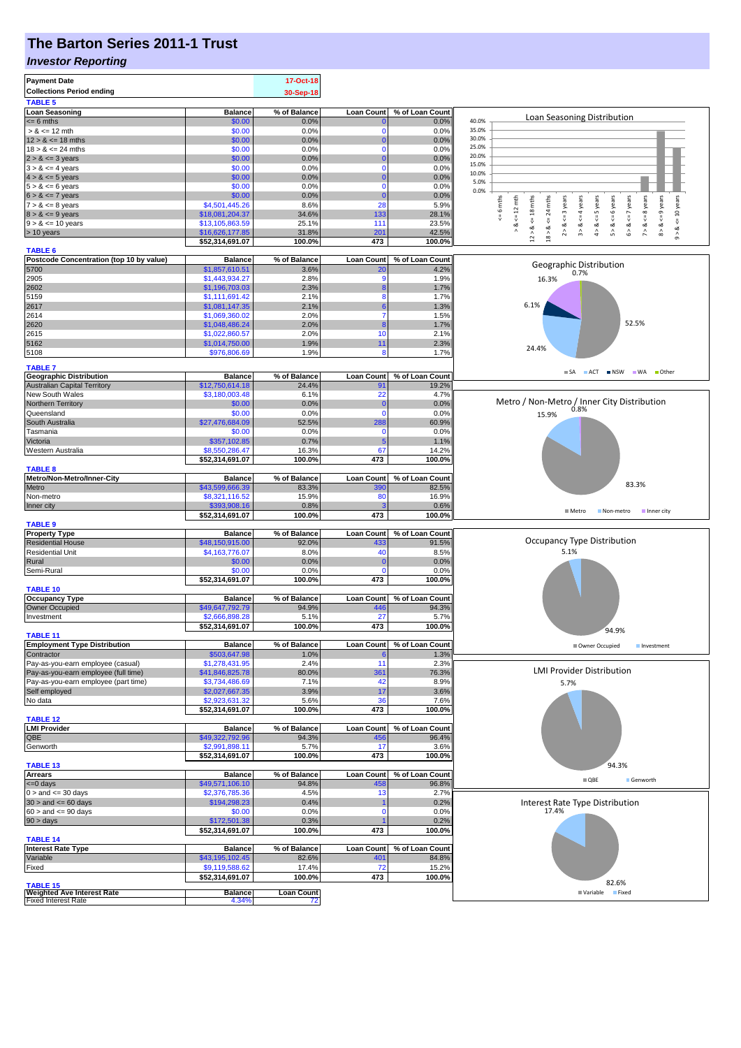# **The Barton Series 2011-1 Trust**

#### *Investor Reporting*

| <b>Payment Date</b>                                    |                                    | 17-Oct-18         |                        |                 |                                                                                                                                                                                                                                            |
|--------------------------------------------------------|------------------------------------|-------------------|------------------------|-----------------|--------------------------------------------------------------------------------------------------------------------------------------------------------------------------------------------------------------------------------------------|
| <b>Collections Period ending</b>                       |                                    | 30-Sep-18         |                        |                 |                                                                                                                                                                                                                                            |
| <b>TABLE 5</b>                                         |                                    |                   |                        |                 |                                                                                                                                                                                                                                            |
| <b>Loan Seasoning</b>                                  | <b>Balance</b>                     | % of Balance      | <b>Loan Count</b>      | % of Loan Count | Loan Seasoning Distribution                                                                                                                                                                                                                |
| $= 6$ mths<br>$> 8 \le 12$ mth                         | \$0.00<br>\$0.00                   | 0.0%              | $\Omega$               | 0.0%<br>0.0%    | 40.0%<br>35.0%                                                                                                                                                                                                                             |
| $12 > 8 \le 18$ mths                                   | \$0.00                             | 0.0%<br>0.0%      | $\Omega$               | 0.0%            | 30.0%                                                                                                                                                                                                                                      |
| $18 > 8 \le 24$ mths                                   | \$0.00                             | 0.0%              | n                      | 0.0%            | 25.0%                                                                                                                                                                                                                                      |
| $2 > 8 \le 3$ years                                    | \$0.00                             | 0.0%              |                        | 0.0%            | 20.0%                                                                                                                                                                                                                                      |
| $3 > 8 \le 4$ years                                    | \$0.00                             | 0.0%              | $\Omega$               | 0.0%            | 15.0%                                                                                                                                                                                                                                      |
| $4 > 8 \le 5$ years                                    | \$0.00                             | 0.0%              |                        | 0.0%            | 10.0%                                                                                                                                                                                                                                      |
| $5 > 8 \le 6$ years                                    | \$0.00                             | 0.0%              | 0                      | 0.0%            | 5.0%<br>0.0%                                                                                                                                                                                                                               |
| $6 > 8 \le 7$ years                                    | \$0.00                             | 0.0%              |                        | 0.0%            |                                                                                                                                                                                                                                            |
| $7 > 8 \le 8$ years                                    | \$4,501,445.26                     | 8.6%              | 28                     | 5.9%            | 6 mths<br>mths                                                                                                                                                                                                                             |
| $8 > 8 \le 9$ years                                    | \$18,081,204.37                    | 34.6%             | 133                    | 28.1%           | $7 > 8 < 8$ years<br>$8 > 8 < = 9$ years<br><= 10 years<br>$\leq 12$ mth<br>$\le$ 18 mths<br>$2 > 8 < z = 3$ years<br>$3 > 8 < 4$ years<br>$4 > 8 < = 5$ years<br>$5 > 8 < 6$ years<br>$6 > 8 < z < 7$ years<br>24<br>$\sqrt{\frac{1}{2}}$ |
| $9 > 8 \le 10$ years                                   | \$13,105,863.59                    | 25.1%             | 111                    | 23.5%           | $\stackrel{\mathtt{ad}}{\scriptstyle\wedge}$<br>જ                                                                                                                                                                                          |
| > 10 years                                             | \$16,626,177.85<br>\$52,314,691.07 | 31.8%<br>100.0%   | 20 <sup>1</sup><br>473 | 42.5%<br>100.0% | $12 > 8$ .<br>$18 > 8$<br>$\hat{\circ}$                                                                                                                                                                                                    |
| <b>TABLE 6</b>                                         |                                    |                   |                        |                 |                                                                                                                                                                                                                                            |
| Postcode Concentration (top 10 by value)               | <b>Balance</b>                     | % of Balance      | <b>Loan Count</b>      | % of Loan Count |                                                                                                                                                                                                                                            |
| 5700                                                   | \$1,857,610.51                     | 3.6%              | 2 <sup>c</sup>         | 4.2%            | Geographic Distribution                                                                                                                                                                                                                    |
| 2905                                                   | \$1,443,934.27                     | 2.8%              |                        | 1.9%            | 0.7%<br>16.3%                                                                                                                                                                                                                              |
| 2602                                                   | \$1,196,703.03                     | 2.3%              |                        | 1.7%            |                                                                                                                                                                                                                                            |
| 5159                                                   | \$1,111,691.42                     | 2.1%              | 8                      | 1.7%            |                                                                                                                                                                                                                                            |
| 2617                                                   | \$1,081,147.35                     | 2.1%              |                        | 1.3%            | 6.1%                                                                                                                                                                                                                                       |
| 2614                                                   | \$1,069,360.02                     | 2.0%              | 7                      | 1.5%            | 52.5%                                                                                                                                                                                                                                      |
| 2620                                                   | \$1,048,486.24                     | 2.0%              |                        | 1.7%            |                                                                                                                                                                                                                                            |
| 2615<br>5162                                           | \$1,022,860.57                     | 2.0%<br>1.9%      | 10<br>11               | 2.1%            |                                                                                                                                                                                                                                            |
| 5108                                                   | \$1,014,750.00<br>\$976,806.69     | 1.9%              | 8                      | 2.3%<br>1.7%    | 24.4%                                                                                                                                                                                                                                      |
|                                                        |                                    |                   |                        |                 |                                                                                                                                                                                                                                            |
| <b>TABLE 7</b>                                         |                                    |                   |                        |                 | SA ACT NSW WA Other                                                                                                                                                                                                                        |
| <b>Geographic Distribution</b>                         | <b>Balance</b>                     | % of Balance      | <b>Loan Count</b>      | % of Loan Count |                                                                                                                                                                                                                                            |
| <b>Australian Capital Territory</b><br>New South Wales | \$12,750,614.18<br>\$3,180,003.48  | 24.4%<br>6.1%     | 91<br>22               | 19.2%<br>4.7%   |                                                                                                                                                                                                                                            |
| Northern Territory                                     | \$0.00                             | 0.0%              | 0                      | 0.0%            | Metro / Non-Metro / Inner City Distribution                                                                                                                                                                                                |
| Queensland                                             | \$0.00                             | 0.0%              | $\Omega$               | 0.0%            | 0.8%                                                                                                                                                                                                                                       |
| South Australia                                        | \$27,476,684.09                    | 52.5%             | 288                    | 60.9%           | 15.9%                                                                                                                                                                                                                                      |
| Tasmania                                               | \$0.00                             | 0.0%              | $\Omega$               | 0.0%            |                                                                                                                                                                                                                                            |
| Victoria                                               | \$357,102.85                       | 0.7%              |                        | 1.1%            |                                                                                                                                                                                                                                            |
| Western Australia                                      | \$8,550,286.47                     | 16.3%             | 67                     | 14.2%           |                                                                                                                                                                                                                                            |
|                                                        | \$52,314,691.07                    | 100.0%            | 473                    | 100.0%          |                                                                                                                                                                                                                                            |
| <b>TABLE 8</b>                                         |                                    |                   |                        |                 |                                                                                                                                                                                                                                            |
| Metro/Non-Metro/Inner-City                             | <b>Balance</b>                     | % of Balance      | <b>Loan Count</b>      | % of Loan Count | 83.3%                                                                                                                                                                                                                                      |
| Metro                                                  | \$43,599,666.39                    | 83.3%             | 390                    | 82.5%           |                                                                                                                                                                                                                                            |
| Non-metro                                              | \$8,321,116.52                     | 15.9%             | 80                     | 16.9%           |                                                                                                                                                                                                                                            |
| Inner city                                             | \$393,908.16<br>\$52,314,691.07    | 0.8%<br>100.0%    | 473                    | 0.6%<br>100.0%  | ■ Metro<br>Non-metro Inner city                                                                                                                                                                                                            |
| <b>TABLE 9</b>                                         |                                    |                   |                        |                 |                                                                                                                                                                                                                                            |
| <b>Property Type</b>                                   | <b>Balance</b>                     | % of Balance      | <b>Loan Count</b>      | % of Loan Count |                                                                                                                                                                                                                                            |
| <b>Residential House</b>                               | \$48,150,915.00                    | 92.0%             | 433                    | 91.5%           | <b>Occupancy Type Distribution</b>                                                                                                                                                                                                         |
| <b>Residential Unit</b>                                | \$4,163,776.07                     | 8.0%              | 40                     | 8.5%            | 5.1%                                                                                                                                                                                                                                       |
| Rural                                                  | \$0.00                             | 0.0%              | $\Omega$               | 0.0%            |                                                                                                                                                                                                                                            |
| Semi-Rural                                             | \$0.00                             | 0.0%              | n                      | 0.0%            |                                                                                                                                                                                                                                            |
|                                                        | \$52,314,691.07                    | 100.0%            | 473                    | 100.0%          |                                                                                                                                                                                                                                            |
| <b>TABLE 10</b>                                        |                                    |                   |                        |                 |                                                                                                                                                                                                                                            |
| <b>Occupancy Type</b>                                  | <b>Balance</b>                     | % of Balance      | <b>Loan Count</b>      | % of Loan Count |                                                                                                                                                                                                                                            |
| Owner Occupied<br>Investment                           | \$49,647,792.79<br>\$2,666,898.28  | 94.9%<br>5.1%     | 446<br>27              | 94.3%<br>5.7%   |                                                                                                                                                                                                                                            |
|                                                        | \$52,314,691.07                    | 100.0%            | 473                    | 100.0%          |                                                                                                                                                                                                                                            |
| <b>TABLE 11</b>                                        |                                    |                   |                        |                 | 94.9%                                                                                                                                                                                                                                      |
| <b>Employment Type Distribution</b>                    | <b>Balance</b>                     | % of Balance      | <b>Loan Count</b>      | % of Loan Count | Owner Occupied<br>Investment                                                                                                                                                                                                               |
| Contractor                                             | \$503,647.98                       | 1.0%              |                        | 1.3%            |                                                                                                                                                                                                                                            |
| Pay-as-you-earn employee (casual)                      | \$1,278,431.95                     | 2.4%              | 11                     | 2.3%            |                                                                                                                                                                                                                                            |
| Pay-as-you-earn employee (full time)                   | \$41,846,825.78                    | 80.0%             | 361                    | 76.3%           | <b>LMI Provider Distribution</b>                                                                                                                                                                                                           |
| Pay-as-you-earn employee (part time)                   | \$3,734,486.69                     | 7.1%              | 42                     | 8.9%            | 5.7%                                                                                                                                                                                                                                       |
| Self employed<br>No data                               | \$2,027,667.35<br>\$2,923,631.32   | 3.9%<br>5.6%      | 17<br>36               | 3.6%<br>7.6%    |                                                                                                                                                                                                                                            |
|                                                        |                                    | 100.0%            | 473                    | 100.0%          |                                                                                                                                                                                                                                            |
| <b>TABLE 12</b>                                        | \$52,314,691.07                    |                   |                        |                 |                                                                                                                                                                                                                                            |
| <b>LMI Provider</b>                                    | <b>Balance</b>                     | % of Balance      | <b>Loan Count</b>      | % of Loan Count |                                                                                                                                                                                                                                            |
| QBE                                                    | \$49,322,792.96                    | 94.3%             | 456                    | 96.4%           |                                                                                                                                                                                                                                            |
| Genworth                                               | \$2,991,898.11                     | 5.7%              | 17                     | 3.6%            |                                                                                                                                                                                                                                            |
|                                                        | \$52,314,691.07                    | 100.0%            | 473                    | 100.0%          |                                                                                                                                                                                                                                            |
| <b>TABLE 13</b>                                        |                                    |                   |                        |                 | 94.3%                                                                                                                                                                                                                                      |
| <b>Arrears</b>                                         | <b>Balance</b>                     | % of Balance      | <b>Loan Count</b>      | % of Loan Count | $\blacksquare$ QBE<br>Genworth                                                                                                                                                                                                             |
| <= 0 days                                              | \$49,571,106.10                    | 94.8%             | 458                    | 96.8%           |                                                                                                                                                                                                                                            |
| $0 >$ and $\leq 30$ days                               | \$2,376,785.36                     | 4.5%              | 13                     | 2.7%<br>0.2%    |                                                                                                                                                                                                                                            |
| $30 >$ and $\leq 60$ days<br>$60 >$ and $\leq 90$ days | \$194,298.23<br>\$0.00             | 0.4%<br>0.0%      | n                      | 0.0%            | Interest Rate Type Distribution<br>17.4%                                                                                                                                                                                                   |
| $90 > \text{days}$                                     | \$172,501.38                       | 0.3%              |                        | 0.2%            |                                                                                                                                                                                                                                            |
|                                                        | \$52,314,691.07                    | 100.0%            | 473                    | 100.0%          |                                                                                                                                                                                                                                            |
| <b>TABLE 14</b>                                        |                                    |                   |                        |                 |                                                                                                                                                                                                                                            |
| <b>Interest Rate Type</b>                              | <b>Balance</b>                     | % of Balance      | <b>Loan Count</b>      | % of Loan Count |                                                                                                                                                                                                                                            |
| Variable                                               | \$43,195,102.45                    | 82.6%             | 40 <sup>4</sup>        | 84.8%           |                                                                                                                                                                                                                                            |
| Fixed                                                  | \$9,119,588.62                     | 17.4%             | 72                     | 15.2%           |                                                                                                                                                                                                                                            |
|                                                        | \$52,314,691.07                    | 100.0%            | 473                    | 100.0%          | 82.6%                                                                                                                                                                                                                                      |
| <b>TABLE 15</b><br><b>Weighted Ave Interest Rate</b>   | <b>Balance</b>                     | <b>Loan Count</b> |                        |                 | Variable Fixed                                                                                                                                                                                                                             |
| <b>Fixed Interest Rate</b>                             | 4.34%                              | 72                |                        |                 |                                                                                                                                                                                                                                            |